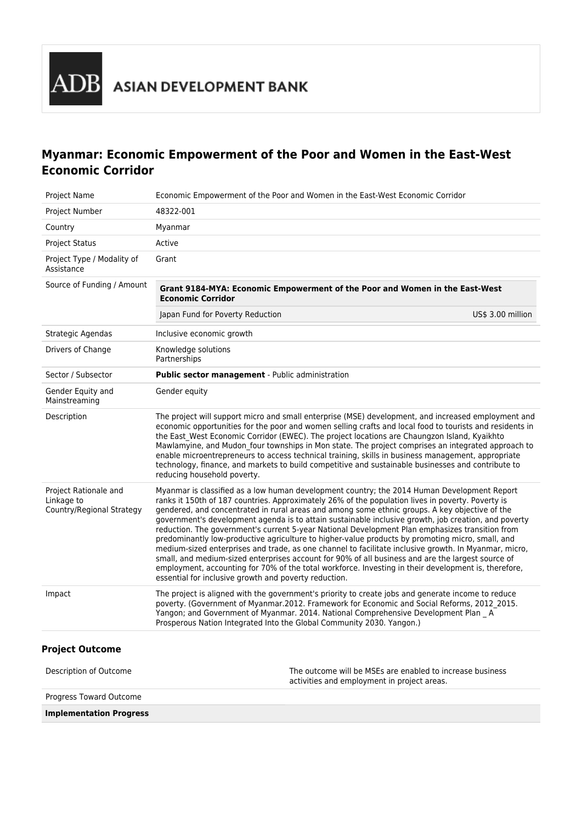

# **Myanmar: Economic Empowerment of the Poor and Women in the East-West Economic Corridor**

| Project Name                                                     | Economic Empowerment of the Poor and Women in the East-West Economic Corridor                                                                                                                                                                                                                                                                                                                                                                                                                                                                                                                                                                                                                                                                                                                                                                                                                                                                                                                    |                   |
|------------------------------------------------------------------|--------------------------------------------------------------------------------------------------------------------------------------------------------------------------------------------------------------------------------------------------------------------------------------------------------------------------------------------------------------------------------------------------------------------------------------------------------------------------------------------------------------------------------------------------------------------------------------------------------------------------------------------------------------------------------------------------------------------------------------------------------------------------------------------------------------------------------------------------------------------------------------------------------------------------------------------------------------------------------------------------|-------------------|
| Project Number                                                   | 48322-001                                                                                                                                                                                                                                                                                                                                                                                                                                                                                                                                                                                                                                                                                                                                                                                                                                                                                                                                                                                        |                   |
| Country                                                          | Myanmar                                                                                                                                                                                                                                                                                                                                                                                                                                                                                                                                                                                                                                                                                                                                                                                                                                                                                                                                                                                          |                   |
| <b>Project Status</b>                                            | Active                                                                                                                                                                                                                                                                                                                                                                                                                                                                                                                                                                                                                                                                                                                                                                                                                                                                                                                                                                                           |                   |
| Project Type / Modality of<br>Assistance                         | Grant                                                                                                                                                                                                                                                                                                                                                                                                                                                                                                                                                                                                                                                                                                                                                                                                                                                                                                                                                                                            |                   |
| Source of Funding / Amount                                       | Grant 9184-MYA: Economic Empowerment of the Poor and Women in the East-West<br><b>Economic Corridor</b>                                                                                                                                                                                                                                                                                                                                                                                                                                                                                                                                                                                                                                                                                                                                                                                                                                                                                          |                   |
|                                                                  | Japan Fund for Poverty Reduction                                                                                                                                                                                                                                                                                                                                                                                                                                                                                                                                                                                                                                                                                                                                                                                                                                                                                                                                                                 | US\$ 3.00 million |
| Strategic Agendas                                                | Inclusive economic growth                                                                                                                                                                                                                                                                                                                                                                                                                                                                                                                                                                                                                                                                                                                                                                                                                                                                                                                                                                        |                   |
| Drivers of Change                                                | Knowledge solutions<br>Partnerships                                                                                                                                                                                                                                                                                                                                                                                                                                                                                                                                                                                                                                                                                                                                                                                                                                                                                                                                                              |                   |
| Sector / Subsector                                               | Public sector management - Public administration                                                                                                                                                                                                                                                                                                                                                                                                                                                                                                                                                                                                                                                                                                                                                                                                                                                                                                                                                 |                   |
| Gender Equity and<br>Mainstreaming                               | Gender equity                                                                                                                                                                                                                                                                                                                                                                                                                                                                                                                                                                                                                                                                                                                                                                                                                                                                                                                                                                                    |                   |
| Description                                                      | The project will support micro and small enterprise (MSE) development, and increased employment and<br>economic opportunities for the poor and women selling crafts and local food to tourists and residents in<br>the East West Economic Corridor (EWEC). The project locations are Chaungzon Island, Kyaikhto<br>Mawlamyine, and Mudon four townships in Mon state. The project comprises an integrated approach to<br>enable microentrepreneurs to access technical training, skills in business management, appropriate<br>technology, finance, and markets to build competitive and sustainable businesses and contribute to<br>reducing household poverty.                                                                                                                                                                                                                                                                                                                                 |                   |
| Project Rationale and<br>Linkage to<br>Country/Regional Strategy | Myanmar is classified as a low human development country; the 2014 Human Development Report<br>ranks it 150th of 187 countries. Approximately 26% of the population lives in poverty. Poverty is<br>gendered, and concentrated in rural areas and among some ethnic groups. A key objective of the<br>government's development agenda is to attain sustainable inclusive growth, job creation, and poverty<br>reduction. The government's current 5-year National Development Plan emphasizes transition from<br>predominantly low-productive agriculture to higher-value products by promoting micro, small, and<br>medium-sized enterprises and trade, as one channel to facilitate inclusive growth. In Myanmar, micro,<br>small, and medium-sized enterprises account for 90% of all business and are the largest source of<br>employment, accounting for 70% of the total workforce. Investing in their development is, therefore,<br>essential for inclusive growth and poverty reduction. |                   |
| Impact                                                           | The project is aligned with the government's priority to create jobs and generate income to reduce<br>poverty. (Government of Myanmar.2012. Framework for Economic and Social Reforms, 2012 2015.<br>Yangon; and Government of Myanmar. 2014. National Comprehensive Development Plan _ A<br>Prosperous Nation Integrated Into the Global Community 2030. Yangon.)                                                                                                                                                                                                                                                                                                                                                                                                                                                                                                                                                                                                                               |                   |

| <b>Implementation Progress</b> |                                                                                                          |
|--------------------------------|----------------------------------------------------------------------------------------------------------|
| Progress Toward Outcome        |                                                                                                          |
| Description of Outcome         | The outcome will be MSEs are enabled to increase business<br>activities and employment in project areas. |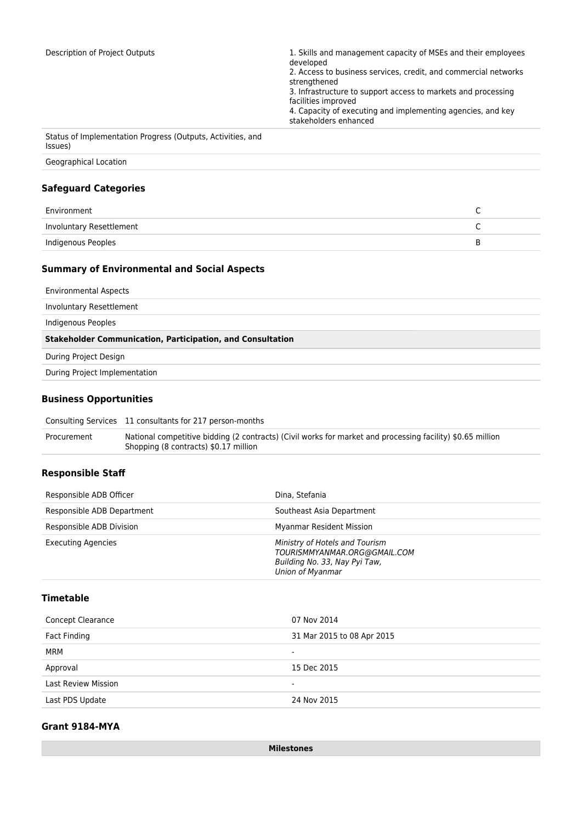| Description of Project Outputs                                         | 1. Skills and management capacity of MSEs and their employees<br>developed<br>2. Access to business services, credit, and commercial networks<br>strengthened<br>3. Infrastructure to support access to markets and processing<br>facilities improved<br>4. Capacity of executing and implementing agencies, and key<br>stakeholders enhanced |
|------------------------------------------------------------------------|-----------------------------------------------------------------------------------------------------------------------------------------------------------------------------------------------------------------------------------------------------------------------------------------------------------------------------------------------|
| Status of Implementation Progress (Outputs, Activities, and<br>(Issues |                                                                                                                                                                                                                                                                                                                                               |

Geographical Location

# **Safeguard Categories**

| Environment              |   |
|--------------------------|---|
| Involuntary Resettlement |   |
| Indigenous Peoples       | к |

# **Summary of Environmental and Social Aspects**

| <b>Environmental Aspects</b>                                      |  |
|-------------------------------------------------------------------|--|
| Involuntary Resettlement                                          |  |
| Indigenous Peoples                                                |  |
| <b>Stakeholder Communication, Participation, and Consultation</b> |  |
|                                                                   |  |
| During Project Design                                             |  |
| During Project Implementation                                     |  |

#### **Business Opportunities**

| Consulting Services 11 consultants for 217 person-months |  |
|----------------------------------------------------------|--|
|----------------------------------------------------------|--|

| Procurement | National competitive bidding (2 contracts) (Civil works for market and processing facility) \$0.65 million |
|-------------|------------------------------------------------------------------------------------------------------------|
|             | Shopping (8 contracts) \$0.17 million                                                                      |

# **Responsible Staff**

| Responsible ADB Officer    | Dina, Stefania                                                                                                      |
|----------------------------|---------------------------------------------------------------------------------------------------------------------|
| Responsible ADB Department | Southeast Asia Department                                                                                           |
| Responsible ADB Division   | <b>Myanmar Resident Mission</b>                                                                                     |
| <b>Executing Agencies</b>  | Ministry of Hotels and Tourism<br>TOURISMMYANMAR.ORG@GMAIL.COM<br>Building No. 33, Nay Pyi Taw,<br>Union of Myanmar |

### **Timetable**

| Concept Clearance          | 07 Nov 2014                |
|----------------------------|----------------------------|
| Fact Finding               | 31 Mar 2015 to 08 Apr 2015 |
| <b>MRM</b>                 | ۰                          |
| Approval                   | 15 Dec 2015                |
| <b>Last Review Mission</b> |                            |
| Last PDS Update            | 24 Nov 2015                |
|                            |                            |

### **Grant 9184-MYA**

**Milestones**